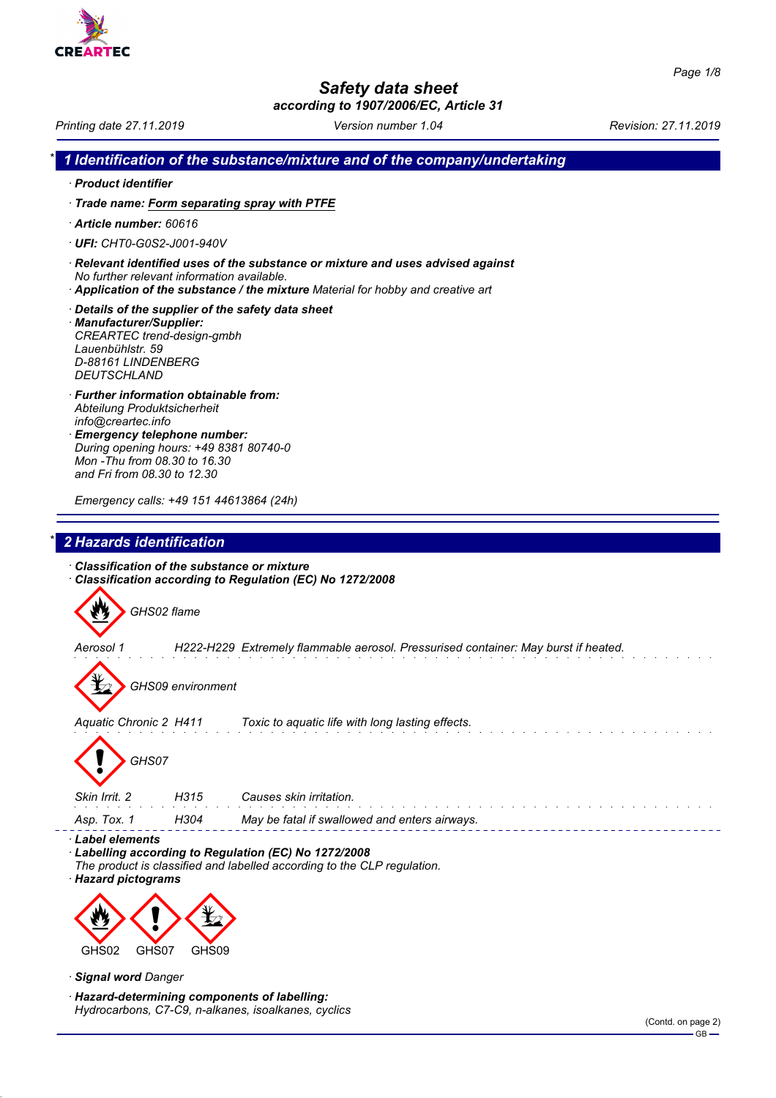

# *Safety data sheet*

*according to 1907/2006/EC, Article 31*

*Printing date 27.11.2019 Version number 1.04 Revision: 27.11.2019*

```
* 1 Identification of the substance/mixture and of the company/undertaking
```
- *· Product identifier*
- *· Trade name: Form separating spray with PTFE*
- *· Article number: 60616*
- *· UFI: CHT0-G0S2-J001-940V*
- *· Relevant identified uses of the substance or mixture and uses advised against No further relevant information available.*
- *· Application of the substance / the mixture Material for hobby and creative art*
- *· Details of the supplier of the safety data sheet · Manufacturer/Supplier: CREARTEC trend-design-gmbh Lauenbühlstr. 59 D-88161 LINDENBERG DEUTSCHLAND*
- *· Further information obtainable from: Abteilung Produktsicherheit info@creartec.info*
- *· Emergency telephone number: During opening hours: +49 8381 80740-0 Mon -Thu from 08.30 to 16.30 and Fri from 08.30 to 12.30*

*Emergency calls: +49 151 44613864 (24h)*

# *\* 2 Hazards identification*

*· Classification of the substance or mixture · Classification according to Regulation (EC) No 1272/2008*

GHS02 flame *Aerosol 1 H222-H229 Extremely flammable aerosol. Pressurised container: May burst if heated.* d~*GHS09 environment Aquatic Chronic 2 H411 Toxic to aquatic life with long lasting effects.* d~*GHS07 Skin Irrit. 2 H315 Causes skin irritation. Asp. Tox. 1 H304 May be fatal if swallowed and enters airways. · Label elements* Labelling according to Regulation (EC) No 1272/2008

- *The product is classified and labelled according to the CLP regulation.*
- *· Hazard pictograms*



- *· Signal word Danger*
- *· Hazard-determining components of labelling: Hydrocarbons, C7-C9, n-alkanes, isoalkanes, cyclics*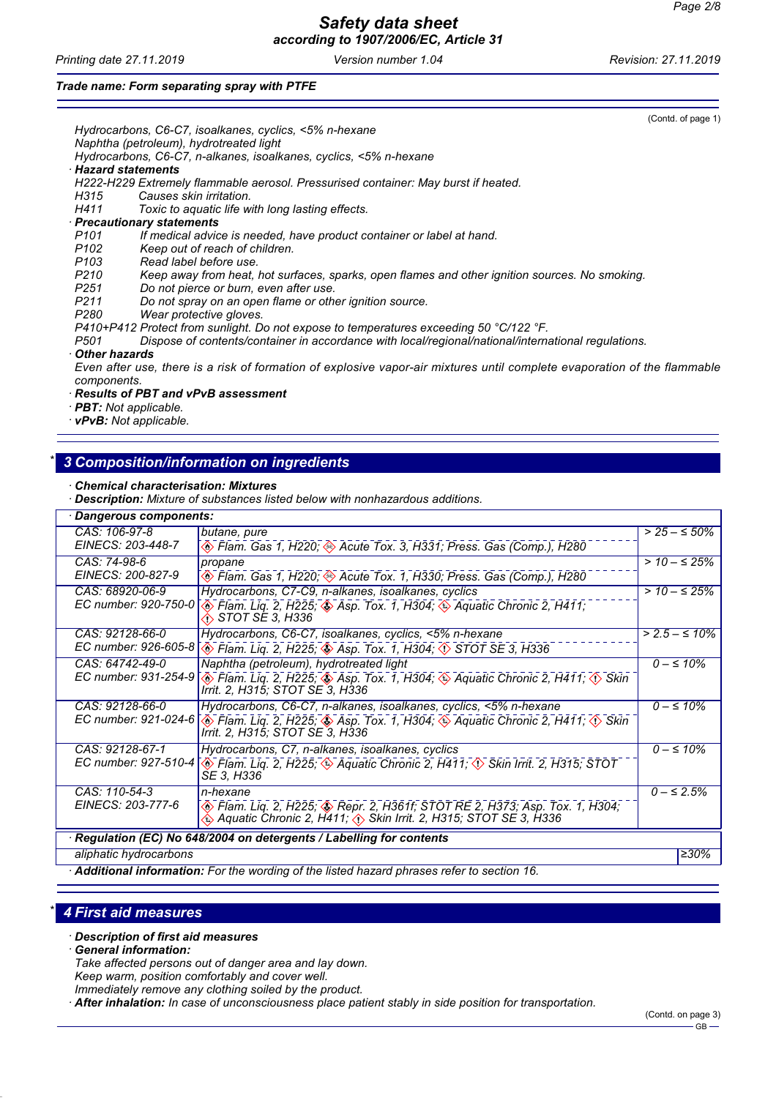*Printing date 27.11.2019 Version number 1.04 Revision: 27.11.2019*

#### *Trade name: Form separating spray with PTFE*

|                                                                                                                          | (Contd. of page 1) |
|--------------------------------------------------------------------------------------------------------------------------|--------------------|
| Hydrocarbons, C6-C7, isoalkanes, cyclics, <5% n-hexane                                                                   |                    |
| Naphtha (petroleum), hydrotreated light                                                                                  |                    |
| Hydrocarbons, C6-C7, n-alkanes, isoalkanes, cyclics, <5% n-hexane                                                        |                    |
| Hazard statements                                                                                                        |                    |
| H222-H229 Extremely flammable aerosol. Pressurised container: May burst if heated.                                       |                    |
| Causes skin irritation.<br>H315                                                                                          |                    |
| H411 Toxic to aquatic life with long lasting effects.                                                                    |                    |
| · Precautionary statements                                                                                               |                    |
| If medical advice is needed, have product container or label at hand.<br>P <sub>101</sub>                                |                    |
| Keep out of reach of children.<br>P <sub>102</sub>                                                                       |                    |
| P <sub>103</sub><br>Read label before use.                                                                               |                    |
| P210<br>Keep away from heat, hot surfaces, sparks, open flames and other ignition sources. No smoking.                   |                    |
| P <sub>251</sub><br>Do not pierce or burn, even after use.                                                               |                    |
| P <sub>211</sub><br>Do not spray on an open flame or other ignition source.                                              |                    |
| P280<br>Wear protective gloves.                                                                                          |                    |
| P410+P412 Protect from sunlight. Do not expose to temperatures exceeding 50 °C/122 °F.                                   |                    |
| Dispose of contents/container in accordance with local/regional/national/international regulations.<br>P501              |                    |
| <b>Other hazards</b>                                                                                                     |                    |
| Even after use, there is a risk of formation of explosive vapor-air mixtures until complete evaporation of the flammable |                    |
| components.                                                                                                              |                    |

*· Results of PBT and vPvB assessment*

- *· PBT: Not applicable.*
- *· vPvB: Not applicable.*

## *\* 3 Composition/information on ingredients*

- *· Chemical characterisation: Mixtures*
- *· Description: Mixture of substances listed below with nonhazardous additions.*

| Dangerous components:                                                                             |                                                                                                                                                                                                   |                    |
|---------------------------------------------------------------------------------------------------|---------------------------------------------------------------------------------------------------------------------------------------------------------------------------------------------------|--------------------|
| CAS: 106-97-8                                                                                     | butane, pure                                                                                                                                                                                      | $> 25 - 50\%$      |
| EINECS: 203-448-7                                                                                 | Flam. Gas 1, H220; Acute Tox. 3, H331; Press. Gas (Comp.), H280                                                                                                                                   |                    |
| CAS: 74-98-6                                                                                      | propane                                                                                                                                                                                           | $> 10 - \leq 25\%$ |
| EINECS: 200-827-9                                                                                 | ◈ Flam. Gas 1, H220; ◈ Acute Tox. 1, H330; Press. Gas (Comp.), H280                                                                                                                               |                    |
| CAS: 68920-06-9                                                                                   | Hydrocarbons, C7-C9, n-alkanes, isoalkanes, cyclics                                                                                                                                               | $> 10 - \leq 25\%$ |
|                                                                                                   | EC number: 920-750-0 ( $\circledast$ Flam. Liq. 2, H225; $\circledast$ Asp. Tox. 1, H304; $\circledast$ Aquatic Chronic 2, H411;<br><i>∢</i> ), STOT SE 3, H336                                   |                    |
| CAS: 92128-66-0                                                                                   | Hydrocarbons, C6-C7, isoalkanes, cyclics, <5% n-hexane                                                                                                                                            | $> 2.5 - \le 10\%$ |
|                                                                                                   | EC number: 926-605-8 $\sqrt{\diamond}$ Flam. Liq. 2, H225; $\diamond$ Asp. Tox. 1, H304; $\diamond$ STOT SE 3, H336                                                                               |                    |
| CAS: 64742-49-0                                                                                   | Naphtha (petroleum), hydrotreated light                                                                                                                                                           | $0 - \le 10\%$     |
| EC number: 931-254-9                                                                              | ◈ Flam. Liq. 2, H225; ♦ Asp. Tox. 1, H304; ♦ Aquatic Chronic 2, H411; ♦ Skin<br>Irrit. 2, H315; STOT SE 3, H336                                                                                   |                    |
| CAS: 92128-66-0                                                                                   | Hydrocarbons, C6-C7, n-alkanes, isoalkanes, cyclics, <5% n-hexane                                                                                                                                 | $0 - \le 10\%$     |
| EC number: 921-024-6                                                                              | ◈ Flam. Liq. 2, H225; ◈ Asp. Tox. 1, H304; ◈ Aquatic Chronic 2, H411; ◊ Skin<br>Irrit. 2, H315; STOT SE 3, H336                                                                                   |                    |
| CAS: 92128-67-1                                                                                   | Hydrocarbons, C7, n-alkanes, isoalkanes, cyclics                                                                                                                                                  | $0 - \le 10\%$     |
|                                                                                                   | EC number: 927-510-4 $\circledast$ Flam. Liq. 2, H225; $\circledast$ Aquatic Chronic 2, H411; $\circledast$ Skin Irrit. 2, H315; STOT<br>SE 3. H336                                               |                    |
| CAS: 110-54-3                                                                                     | n-hexane                                                                                                                                                                                          | $0 - \le 2.5\%$    |
| EINECS: 203-777-6                                                                                 | Blam. Liq. 2, H225; Sepr. 2, H361f; STOT RE 2, H373; Asp. Tox. 1, H304;<br>ie Aquatic Chronic 2, H411; <sets 2,="" 3,="" h315;="" h336<="" irrit.="" se="" skin="" stot="" td=""><td></td></sets> |                    |
|                                                                                                   | Regulation (EC) No 648/2004 on detergents / Labelling for contents                                                                                                                                |                    |
| aliphatic hydrocarbons                                                                            |                                                                                                                                                                                                   | $\geq 30\%$        |
| $\cdot$ Additional information: For the wording of the listed hazard phrases refer to section 16. |                                                                                                                                                                                                   |                    |

## *\* 4 First aid measures*

- *· Description of first aid measures*
- *· General information:*
- *Take affected persons out of danger area and lay down.*
- *Keep warm, position comfortably and cover well.*

*Immediately remove any clothing soiled by the product.*

*· After inhalation: In case of unconsciousness place patient stably in side position for transportation.*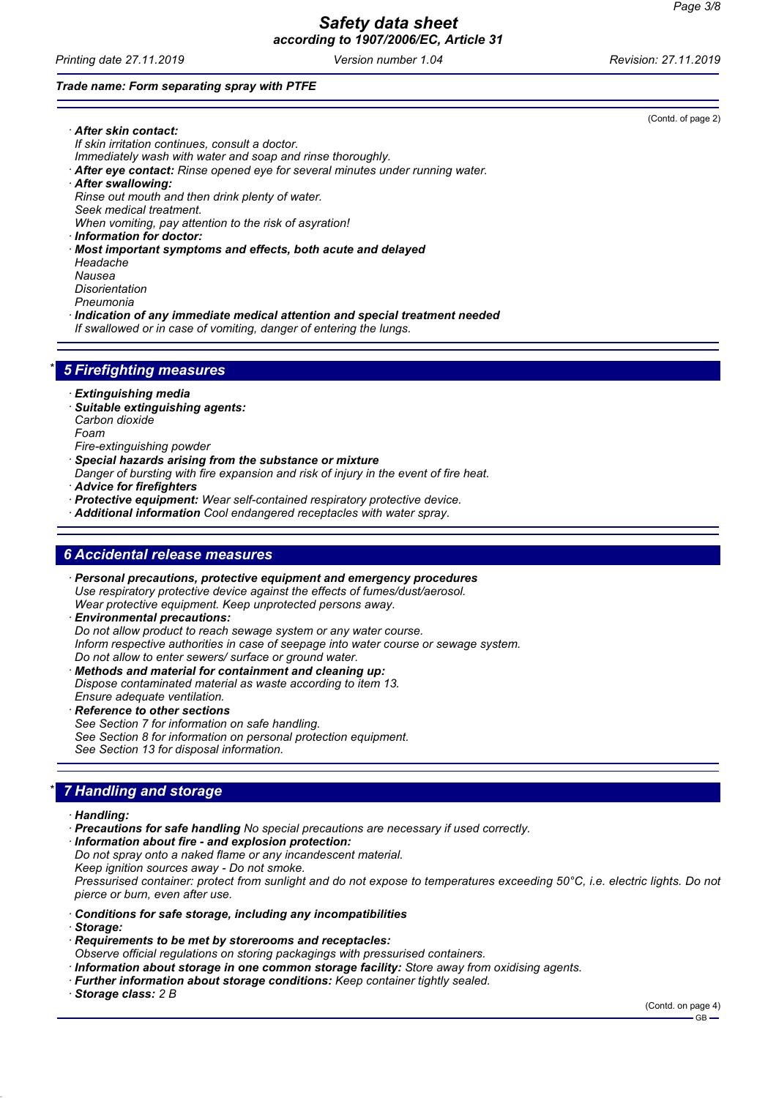*Printing date 27.11.2019 Version number 1.04 Revision: 27.11.2019*

*Trade name: Form separating spray with PTFE*

(Contd. of page 2)

- *· After skin contact: If skin irritation continues, consult a doctor. Immediately wash with water and soap and rinse thoroughly. · After eye contact: Rinse opened eye for several minutes under running water. · After swallowing: Rinse out mouth and then drink plenty of water. Seek medical treatment.*
- *When vomiting, pay attention to the risk of asyration!*
- *· Information for doctor:*
- *· Most important symptoms and effects, both acute and delayed*
- *Headache*
- *Nausea Disorientation*
- *Pneumonia*
- *· Indication of any immediate medical attention and special treatment needed*
- *If swallowed or in case of vomiting, danger of entering the lungs.*

## *\* 5 Firefighting measures*

- *· Extinguishing media*
- *· Suitable extinguishing agents: Carbon dioxide*
- *Foam*
- *Fire-extinguishing powder*
- *· Special hazards arising from the substance or mixture*
- *Danger of bursting with fire expansion and risk of injury in the event of fire heat.*
- *· Advice for firefighters*
- *· Protective equipment: Wear self-contained respiratory protective device.*
- *· Additional information Cool endangered receptacles with water spray.*

### *6 Accidental release measures*

- *· Personal precautions, protective equipment and emergency procedures Use respiratory protective device against the effects of fumes/dust/aerosol. Wear protective equipment. Keep unprotected persons away.*
- *· Environmental precautions: Do not allow product to reach sewage system or any water course. Inform respective authorities in case of seepage into water course or sewage system. Do not allow to enter sewers/ surface or ground water. · Methods and material for containment and cleaning up:*
- *Dispose contaminated material as waste according to item 13. Ensure adequate ventilation.*
- *· Reference to other sections*
- *See Section 7 for information on safe handling. See Section 8 for information on personal protection equipment. See Section 13 for disposal information.*

## *\* 7 Handling and storage*

- *· Handling:*
- *· Precautions for safe handling No special precautions are necessary if used correctly.*
- *· Information about fire and explosion protection:*
- *Do not spray onto a naked flame or any incandescent material.*
- *Keep ignition sources away Do not smoke.*

*Pressurised container: protect from sunlight and do not expose to temperatures exceeding 50°C, i.e. electric lights. Do not pierce or burn, even after use.*

- *· Conditions for safe storage, including any incompatibilities*
- *· Storage:*
- *· Requirements to be met by storerooms and receptacles:*
- *Observe official regulations on storing packagings with pressurised containers.*
- *· Information about storage in one common storage facility: Store away from oxidising agents.*
- *· Further information about storage conditions: Keep container tightly sealed.*

*· Storage class: 2 B*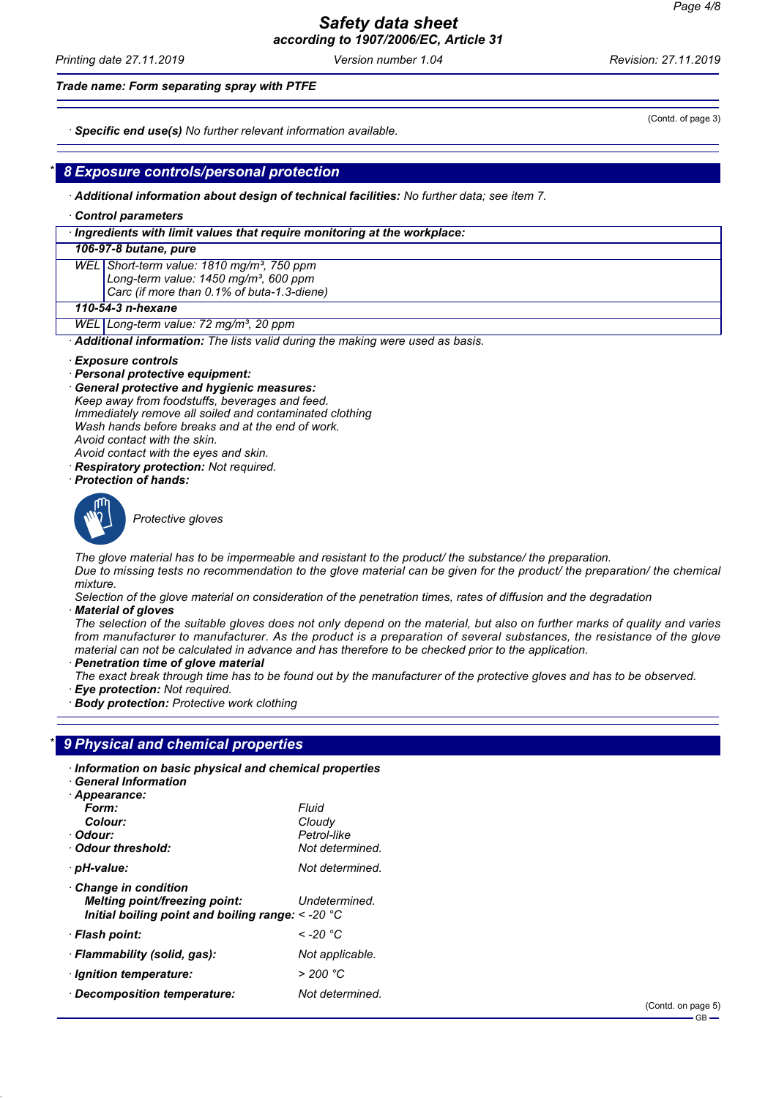*Printing date 27.11.2019 Version number 1.04 Revision: 27.11.2019*

*Trade name: Form separating spray with PTFE*

*· Specific end use(s) No further relevant information available.*

## *\* 8 Exposure controls/personal protection*

*· Additional information about design of technical facilities: No further data; see item 7.*

*· Control parameters*

#### *· Ingredients with limit values that require monitoring at the workplace:*

#### *106-97-8 butane, pure*

*WEL Short-term value: 1810 mg/m³, 750 ppm Long-term value: 1450 mg/m³, 600 ppm Carc (if more than 0.1% of buta-1.3-diene)*

#### *110-54-3 n-hexane*

*WEL Long-term value: 72 mg/m³, 20 ppm*

*· Additional information: The lists valid during the making were used as basis.*

- *· Exposure controls*
- *· Personal protective equipment:*
- *· General protective and hygienic measures:*

*Keep away from foodstuffs, beverages and feed. Immediately remove all soiled and contaminated clothing Wash hands before breaks and at the end of work. Avoid contact with the skin.*

- *Avoid contact with the eyes and skin. · Respiratory protection: Not required.*
- *· Protection of hands:*
- 



\_S*Protective gloves*

*The glove material has to be impermeable and resistant to the product/ the substance/ the preparation. Due to missing tests no recommendation to the glove material can be given for the product/ the preparation/ the chemical mixture.*

*Selection of the glove material on consideration of the penetration times, rates of diffusion and the degradation · Material of gloves*

*The selection of the suitable gloves does not only depend on the material, but also on further marks of quality and varies from manufacturer to manufacturer. As the product is a preparation of several substances, the resistance of the glove material can not be calculated in advance and has therefore to be checked prior to the application.*

*· Penetration time of glove material*

*The exact break through time has to be found out by the manufacturer of the protective gloves and has to be observed. · Eye protection: Not required.*

**Body protection:** Protective work clothing

### *\* 9 Physical and chemical properties*

| · Information on basic physical and chemical properties                                                                  |                 |
|--------------------------------------------------------------------------------------------------------------------------|-----------------|
| $\cdot$ General Information                                                                                              |                 |
| · Appearance:                                                                                                            |                 |
| Form:                                                                                                                    | Fluid           |
| Colour:                                                                                                                  | Cloudy          |
| · Odour:                                                                                                                 | Petrol-like     |
| · Odour threshold:                                                                                                       | Not determined. |
| · pH-value:                                                                                                              | Not determined. |
| $\cdot$ Change in condition<br><b>Melting point/freezing point:</b><br>Initial boiling point and boiling range: < -20 °C | Undetermined.   |
| · Flash point:                                                                                                           | < -20 °C        |
| · Flammability (solid, gas):                                                                                             | Not applicable. |
| · Ignition temperature:                                                                                                  | > 200 °C        |
| · Decomposition temperature:                                                                                             | Not determined. |

(Contd. of page 3)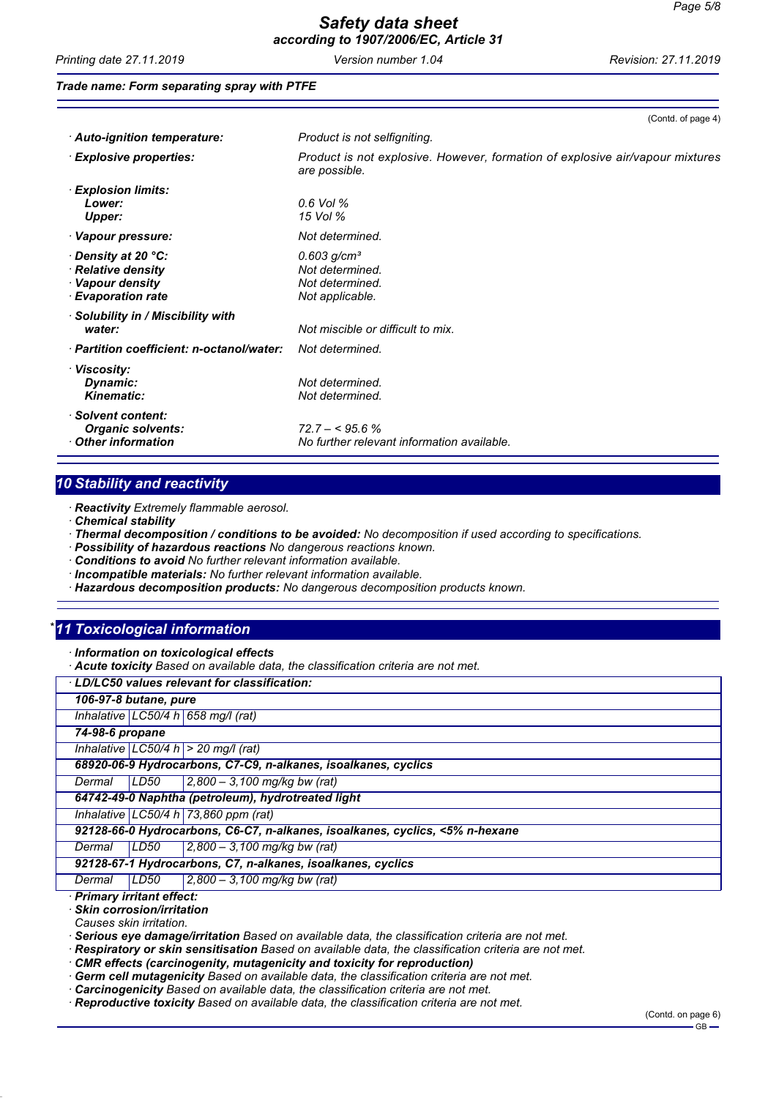*Printing date 27.11.2019 Version number 1.04 Revision: 27.11.2019*

(Contd. of page 4)

### *Trade name: Form separating spray with PTFE*

| · Auto-ignition temperature:                                                              | Product is not selfigniting.                                                                   |
|-------------------------------------------------------------------------------------------|------------------------------------------------------------------------------------------------|
| $\cdot$ Explosive properties:                                                             | Product is not explosive. However, formation of explosive air/vapour mixtures<br>are possible. |
| $\cdot$ Explosion limits:<br>Lower:<br>Upper:                                             | 0.6 Vol %<br>15 Vol %                                                                          |
| · Vapour pressure:                                                                        | Not determined.                                                                                |
| · Density at 20 °C:<br>· Relative density<br>· Vapour density<br>$\cdot$ Evaporation rate | $0.603$ g/cm <sup>3</sup><br>Not determined.<br>Not determined.<br>Not applicable.             |
| · Solubility in / Miscibility with<br>water:                                              | Not miscible or difficult to mix.                                                              |
| · Partition coefficient: n-octanol/water:                                                 | Not determined.                                                                                |
| · Viscosity:<br>Dynamic:<br><b>Kinematic:</b>                                             | Not determined.<br>Not determined.                                                             |
| · Solvent content:<br><b>Organic solvents:</b><br>$\cdot$ Other information               | $72.7 - 5.6\%$<br>No further relevant information available.                                   |

# *10 Stability and reactivity*

*· Reactivity Extremely flammable aerosol.*

- *· Chemical stability*
- *· Thermal decomposition / conditions to be avoided: No decomposition if used according to specifications.*
- *· Possibility of hazardous reactions No dangerous reactions known.*
- *· Conditions to avoid No further relevant information available.*
- *· Incompatible materials: No further relevant information available.*
- *· Hazardous decomposition products: No dangerous decomposition products known.*

# *\* 11 Toxicological information*

- *· Information on toxicological effects*
- *· Acute toxicity Based on available data, the classification criteria are not met.*

| · LD/LC50 values relevant for classification:                                |
|------------------------------------------------------------------------------|
| 106-97-8 butane, pure                                                        |
| Inhalative LC50/4 h 658 mg/l (rat)                                           |
| 74-98-6 propane                                                              |
| Inhalative $ LC50/4 h  > 20$ mg/l (rat)                                      |
| 68920-06-9 Hydrocarbons, C7-C9, n-alkanes, isoalkanes, cyclics               |
| LD50<br>$ 2,800 - 3,100 \text{ mg/kg}$ bw (rat)<br>Dermal                    |
| 64742-49-0 Naphtha (petroleum), hydrotreated light                           |
| Inhalative LC50/4 h 73,860 ppm (rat)                                         |
| 92128-66-0 Hydrocarbons, C6-C7, n-alkanes, isoalkanes, cyclics, <5% n-hexane |
| LD50<br>$ 2,800 - 3,100$ mg/kg bw (rat)<br>Dermal                            |
| 92128-67-1 Hydrocarbons, C7, n-alkanes, isoalkanes, cyclics                  |
| $2,800 - 3,100$ mg/kg bw (rat)<br>LD50<br>Dermal                             |

*· Primary irritant effect:*

*· Skin corrosion/irritation*

*Causes skin irritation.*

*· Serious eye damage/irritation Based on available data, the classification criteria are not met.*

*· Respiratory or skin sensitisation Based on available data, the classification criteria are not met.*

*· CMR effects (carcinogenity, mutagenicity and toxicity for reproduction)*

Germ cell mutagenicity Based on available data, the classification criteria are not met.

*· Carcinogenicity Based on available data, the classification criteria are not met.*

*· Reproductive toxicity Based on available data, the classification criteria are not met.*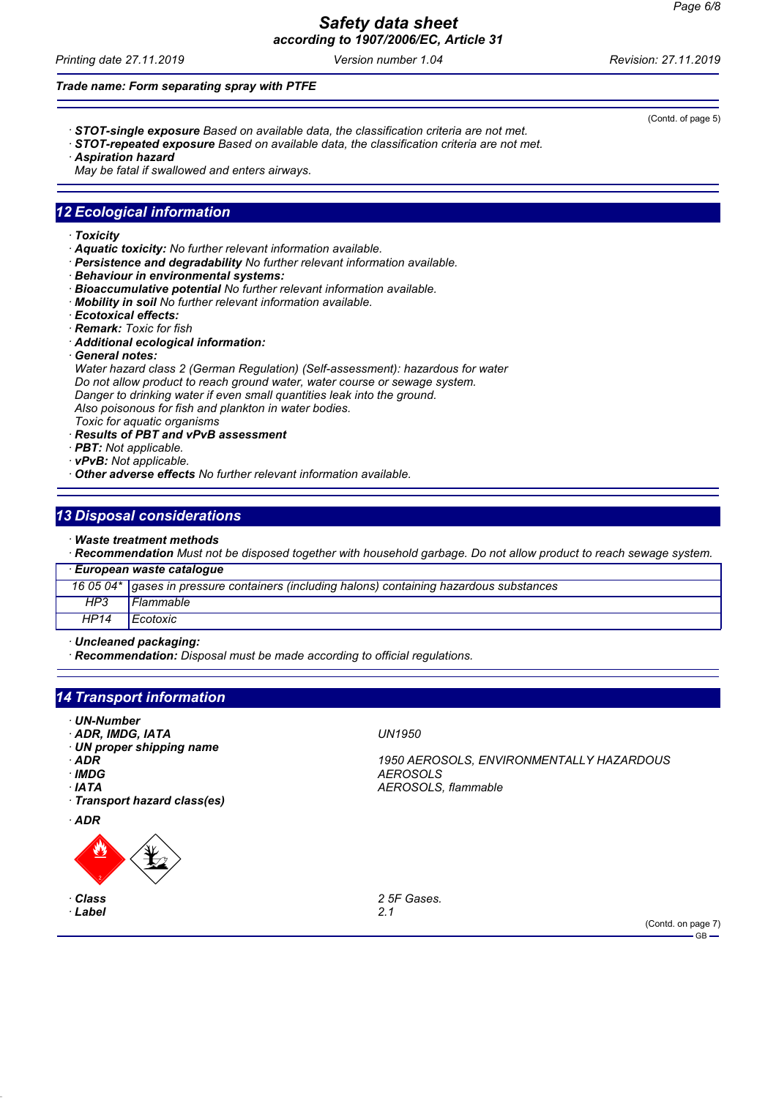*Printing date 27.11.2019 Version number 1.04 Revision: 27.11.2019*

(Contd. of page 5)

*Trade name: Form separating spray with PTFE*

- *· STOT-single exposure Based on available data, the classification criteria are not met.*
- *· STOT-repeated exposure Based on available data, the classification criteria are not met.*
- *· Aspiration hazard*

*May be fatal if swallowed and enters airways.*

## *12 Ecological information*

- *· Toxicity*
- *· Aquatic toxicity: No further relevant information available.*
- *· Persistence and degradability No further relevant information available.*
- *· Behaviour in environmental systems:*
- *· Bioaccumulative potential No further relevant information available.*
- *· Mobility in soil No further relevant information available.*
- *· Ecotoxical effects:*
- *· Remark: Toxic for fish*
- *· Additional ecological information:*
- *· General notes:*

*Water hazard class 2 (German Regulation) (Self-assessment): hazardous for water Do not allow product to reach ground water, water course or sewage system. Danger to drinking water if even small quantities leak into the ground. Also poisonous for fish and plankton in water bodies. Toxic for aquatic organisms*

*· Results of PBT and vPvB assessment*

- *· PBT: Not applicable.*
- *· vPvB: Not applicable.*
- *· Other adverse effects No further relevant information available.*

### *13 Disposal considerations*

*· Waste treatment methods*

*· Recommendation Must not be disposed together with household garbage. Do not allow product to reach sewage system.*

|      | · European waste catalogue                                                                  |
|------|---------------------------------------------------------------------------------------------|
|      | 16 05 04*   gases in pressure containers (including halons) containing hazardous substances |
| HP3  | Flammable                                                                                   |
| HP14 | Ecotoxic                                                                                    |

*· Uncleaned packaging:*

*· Recommendation: Disposal must be made according to official regulations.*

## *14 Transport information*

- *· UN-Number*
- *· ADR, IMDG, IATA UN1950*
- *· UN proper shipping name*
- 
- 
- 
- *· Transport hazard class(es)*
- *· ADR*



*· Label 2.1*

*· ADR 1950 AEROSOLS, ENVIRONMENTALLY HAZARDOUS · IMDG AEROSOLS · IATA AEROSOLS, flammable*

*Class 2 5F Gases.*

(Contd. on page 7)  $-$  GB  $-$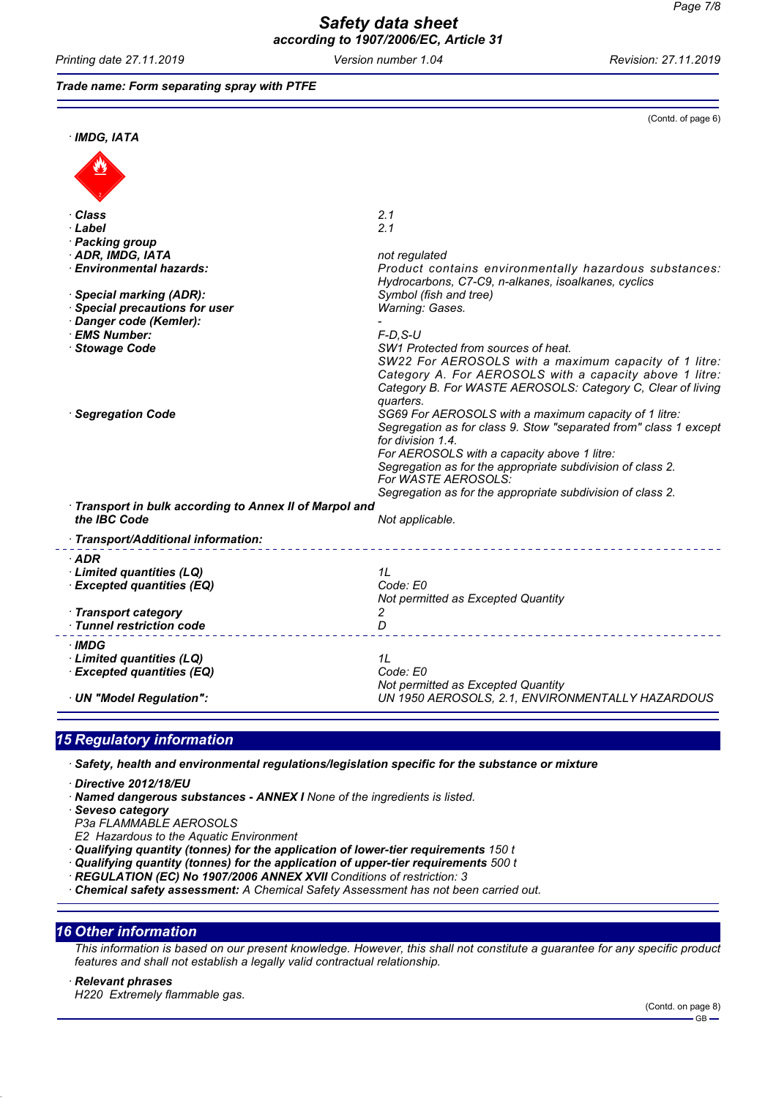*Printing date 27.11.2019 Version number 1.04 Revision: 27.11.2019*

#### *Trade name: Form separating spray with PTFE*

|                                                         | (Contd. of page 6)                                                                                                                                                                                                                                                                                                                               |
|---------------------------------------------------------|--------------------------------------------------------------------------------------------------------------------------------------------------------------------------------------------------------------------------------------------------------------------------------------------------------------------------------------------------|
| $·$ IMDG, IATA                                          |                                                                                                                                                                                                                                                                                                                                                  |
|                                                         |                                                                                                                                                                                                                                                                                                                                                  |
| ∙ Class                                                 | 2.1                                                                                                                                                                                                                                                                                                                                              |
| · Label                                                 | 2.1                                                                                                                                                                                                                                                                                                                                              |
| · Packing group                                         |                                                                                                                                                                                                                                                                                                                                                  |
| · ADR, IMDG, IATA                                       | not regulated                                                                                                                                                                                                                                                                                                                                    |
| · Environmental hazards:                                | Product contains environmentally hazardous substances:<br>Hydrocarbons, C7-C9, n-alkanes, isoalkanes, cyclics                                                                                                                                                                                                                                    |
| · Special marking (ADR):                                | Symbol (fish and tree)                                                                                                                                                                                                                                                                                                                           |
| Special precautions for user                            | Warning: Gases.                                                                                                                                                                                                                                                                                                                                  |
| Danger code (Kemler):                                   |                                                                                                                                                                                                                                                                                                                                                  |
| · EMS Number:                                           | $F-D$ , S-U                                                                                                                                                                                                                                                                                                                                      |
| Stowage Code                                            | SW1 Protected from sources of heat.<br>SW22 For AEROSOLS with a maximum capacity of 1 litre:<br>Category A. For AEROSOLS with a capacity above 1 litre:<br>Category B. For WASTE AEROSOLS: Category C, Clear of living<br>quarters.                                                                                                              |
| · Segregation Code                                      | SG69 For AEROSOLS with a maximum capacity of 1 litre:<br>Segregation as for class 9. Stow "separated from" class 1 except<br>for division 1.4.<br>For AEROSOLS with a capacity above 1 litre:<br>Segregation as for the appropriate subdivision of class 2.<br>For WASTE AEROSOLS:<br>Segregation as for the appropriate subdivision of class 2. |
| · Transport in bulk according to Annex II of Marpol and |                                                                                                                                                                                                                                                                                                                                                  |
| the IBC Code                                            | Not applicable.                                                                                                                                                                                                                                                                                                                                  |
| · Transport/Additional information:                     |                                                                                                                                                                                                                                                                                                                                                  |
| ∙ADR                                                    |                                                                                                                                                                                                                                                                                                                                                  |
| $\cdot$ Limited quantities (LQ)                         | 1L                                                                                                                                                                                                                                                                                                                                               |
| <b>Excepted quantities (EQ)</b>                         | Code: E0                                                                                                                                                                                                                                                                                                                                         |
|                                                         | Not permitted as Excepted Quantity                                                                                                                                                                                                                                                                                                               |
| · Transport category                                    | 2                                                                                                                                                                                                                                                                                                                                                |
| · Tunnel restriction code                               | D                                                                                                                                                                                                                                                                                                                                                |
| ∙IMDG                                                   |                                                                                                                                                                                                                                                                                                                                                  |
| $\cdot$ Limited quantities (LQ)                         | 1L                                                                                                                                                                                                                                                                                                                                               |
| · Excepted quantities (EQ)                              | Code: E0                                                                                                                                                                                                                                                                                                                                         |
|                                                         | Not permitted as Excepted Quantity                                                                                                                                                                                                                                                                                                               |
| · UN "Model Regulation":                                | UN 1950 AEROSOLS, 2.1, ENVIRONMENTALLY HAZARDOUS                                                                                                                                                                                                                                                                                                 |

# *15 Regulatory information*

*· Safety, health and environmental regulations/legislation specific for the substance or mixture*

*· Directive 2012/18/EU*

*· Named dangerous substances - ANNEX I None of the ingredients is listed.*

*· Seveso category*

*P3a FLAMMABLE AEROSOLS*

*E2 Hazardous to the Aquatic Environment*

*· Qualifying quantity (tonnes) for the application of lower-tier requirements 150 t*

- *· Qualifying quantity (tonnes) for the application of upper-tier requirements 500 t*
- *· REGULATION (EC) No 1907/2006 ANNEX XVII Conditions of restriction: 3*

*· Chemical safety assessment: A Chemical Safety Assessment has not been carried out.*

### *16 Other information*

*This information is based on our present knowledge. However, this shall not constitute a guarantee for any specific product features and shall not establish a legally valid contractual relationship.*

*· Relevant phrases*

*H220 Extremely flammable gas.*